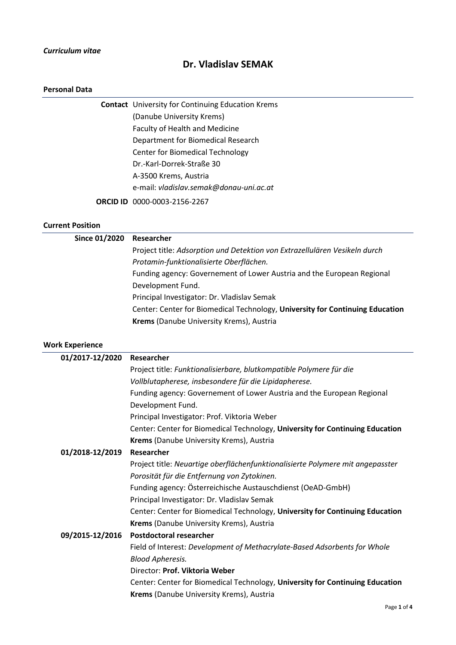### *Curriculum vitae*

# **Dr. Vladislav SEMAK**

### **Personal Data**

| <b>Contact</b> University for Continuing Education Krems |  |
|----------------------------------------------------------|--|
| (Danube University Krems)                                |  |
| <b>Faculty of Health and Medicine</b>                    |  |
| Department for Biomedical Research                       |  |
| <b>Center for Biomedical Technology</b>                  |  |
| Dr.-Karl-Dorrek-Straße 30                                |  |
| A-3500 Krems, Austria                                    |  |
| e-mail: vladislav.semak@donau-uni.ac.at                  |  |
| <b>ORCID ID</b> 0000-0003-2156-2267                      |  |

### **Current Position**

| Since 01/2020          | Researcher                                                                    |
|------------------------|-------------------------------------------------------------------------------|
|                        | Project title: Adsorption und Detektion von Extrazellulären Vesikeln durch    |
|                        | Protamin-funktionalisierte Oberflächen.                                       |
|                        | Funding agency: Governement of Lower Austria and the European Regional        |
|                        | Development Fund.                                                             |
|                        | Principal Investigator: Dr. Vladislav Semak                                   |
|                        | Center: Center for Biomedical Technology, University for Continuing Education |
|                        | Krems (Danube University Krems), Austria                                      |
| <b>Work Experience</b> |                                                                               |
| 01/2017-12/2020        | Researcher                                                                    |
|                        | Project title: Funktionalisierbare, blutkompatible Polymere für die           |
|                        | Vollblutapherese, insbesondere für die Lipidapherese.                         |
|                        |                                                                               |

Funding agency: Governement of Lower Austria and the European Regional Development Fund.

Principal Investigator: Prof. Viktoria Weber

Center: Center for Biomedical Technology, **University for Continuing Education Krems** (Danube University Krems), Austria

## **01/2018-12/2019 Researcher**

Project title: *Neuartige oberflächenfunktionalisierte Polymere mit angepasster Porosität für die Entfernung von Zytokinen.* Funding agency: Österreichische Austauschdienst (OeAD-GmbH) Principal Investigator: Dr. Vladislav Semak

Center: Center for Biomedical Technology, **University for Continuing Education Krems** (Danube University Krems), Austria

## **09/2015-12/2016 Postdoctoral researcher**

Field of Interest: *Development of Methacrylate-Based Adsorbents for Whole Blood Apheresis.*

## Director: **Prof. Viktoria Weber**

Center: Center for Biomedical Technology, **University for Continuing Education Krems** (Danube University Krems), Austria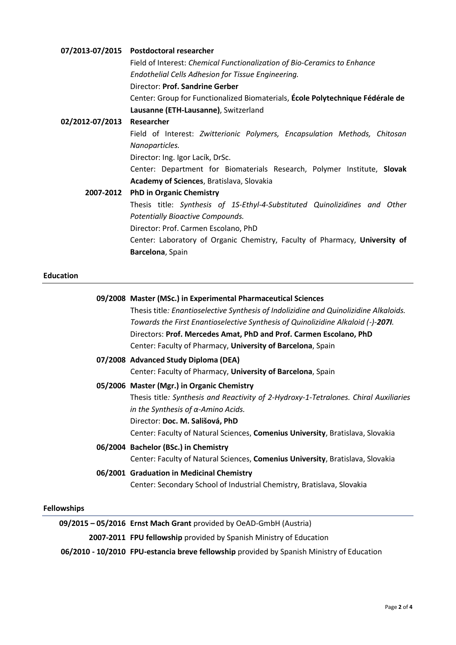|                 | 07/2013-07/2015 Postdoctoral researcher                                        |
|-----------------|--------------------------------------------------------------------------------|
|                 | Field of Interest: Chemical Functionalization of Bio-Ceramics to Enhance       |
|                 | Endothelial Cells Adhesion for Tissue Engineering.                             |
|                 | Director: Prof. Sandrine Gerber                                                |
|                 | Center: Group for Functionalized Biomaterials, Ecole Polytechnique Fédérale de |
|                 | Lausanne (ETH-Lausanne), Switzerland                                           |
| 02/2012-07/2013 | Researcher                                                                     |
|                 | Field of Interest: Zwitterionic Polymers, Encapsulation Methods, Chitosan      |
|                 | Nanoparticles.                                                                 |
|                 | Director: Ing. Igor Lacík, DrSc.                                               |
|                 | Center: Department for Biomaterials Research, Polymer Institute, Slovak        |
|                 | <b>Academy of Sciences, Bratislava, Slovakia</b>                               |
| 2007-2012       | <b>PhD in Organic Chemistry</b>                                                |
|                 | Thesis title: Synthesis of 1S-Ethyl-4-Substituted Quinolizidines and Other     |
|                 | <b>Potentially Bioactive Compounds.</b>                                        |
|                 | Director: Prof. Carmen Escolano, PhD                                           |
|                 | Center: Laboratory of Organic Chemistry, Faculty of Pharmacy, University of    |
|                 | Barcelona, Spain                                                               |
|                 |                                                                                |

## **Education**

|  | 09/2008 Master (MSc.) in Experimental Pharmaceutical Sciences                         |
|--|---------------------------------------------------------------------------------------|
|  | Thesis title: Enantioselective Synthesis of Indolizidine and Quinolizidine Alkaloids. |
|  | Towards the First Enantioselective Synthesis of Quinolizidine Alkaloid (-)-2071.      |
|  | Directors: Prof. Mercedes Amat, PhD and Prof. Carmen Escolano, PhD                    |
|  | Center: Faculty of Pharmacy, University of Barcelona, Spain                           |
|  | 07/2008 Advanced Study Diploma (DEA)                                                  |
|  | Center: Faculty of Pharmacy, University of Barcelona, Spain                           |
|  | 05/2006 Master (Mgr.) in Organic Chemistry                                            |
|  | Thesis title: Synthesis and Reactivity of 2-Hydroxy-1-Tetralones. Chiral Auxiliaries  |
|  | in the Synthesis of $\alpha$ -Amino Acids.                                            |
|  | Director: Doc. M. Sališová, PhD                                                       |
|  | Center: Faculty of Natural Sciences, Comenius University, Bratislava, Slovakia        |
|  | 06/2004 Bachelor (BSc.) in Chemistry                                                  |
|  | Center: Faculty of Natural Sciences, Comenius University, Bratislava, Slovakia        |
|  | 06/2001 Graduation in Medicinal Chemistry                                             |
|  | Center: Secondary School of Industrial Chemistry, Bratislava, Slovakia                |
|  |                                                                                       |
|  |                                                                                       |

# **Fellowships**

| 09/2015 - 05/2016 Ernst Mach Grant provided by OeAD-GmbH (Austria)                        |
|-------------------------------------------------------------------------------------------|
| 2007-2011 FPU fellowship provided by Spanish Ministry of Education                        |
| 06/2010 - 10/2010 FPU-estancia breve fellowship provided by Spanish Ministry of Education |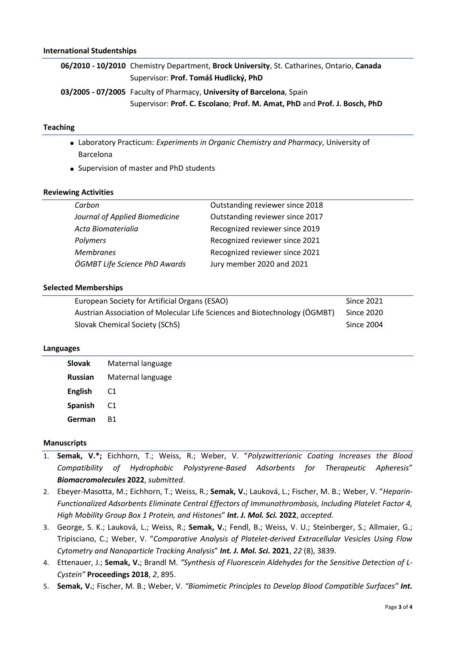**06/2010 - 10/2010** Chemistry Department, **Brock University**, St. Catharines, Ontario, **Canada** Supervisor: **Prof. Tomáš Hudlický, PhD 03/2005 - 07/2005** Faculty of Pharmacy, **University of Barcelona**, Spain Supervisor: **Prof. C. Escolano**; **Prof. M. Amat, PhD** and **Prof. J. Bosch, PhD**

### **Teaching**

- Laboratory Practicum: *Experiments in Organic Chemistry and Pharmacy*, University of Barcelona
- Supervision of master and PhD students

### **Reviewing Activities**

| Carbon                         | Outstanding reviewer since 2018 |
|--------------------------------|---------------------------------|
| Journal of Applied Biomedicine | Outstanding reviewer since 2017 |
| Acta Biomaterialia             | Recognized reviewer since 2019  |
| Polymers                       | Recognized reviewer since 2021  |
| <b>Membranes</b>               | Recognized reviewer since 2021  |
| ÖGMBT Life Science PhD Awards  | Jury member 2020 and 2021       |
|                                |                                 |

### **Selected Memberships**

| European Society for Artificial Organs (ESAO)                             | Since 2021 |
|---------------------------------------------------------------------------|------------|
| Austrian Association of Molecular Life Sciences and Biotechnology (OGMBT) | Since 2020 |
| Slovak Chemical Society (SChS)                                            | Since 2004 |

### **Languages**

| <b>Slovak</b>  | Maternal language |
|----------------|-------------------|
| <b>Russian</b> | Maternal language |
| <b>English</b> | C <sub>1</sub>    |
| <b>Spanish</b> | C1                |
| German         | R1                |

## **Manuscripts**

- 1. **Semak, V.\*;** Eichhorn, T.; Weiss, R.; Weber, V. "*Polyzwitterionic Coating Increases the Blood Compatibility of Hydrophobic Polystyrene-Based Adsorbents for Therapeutic Apheresis*" *Biomacromolecules* **2022**, *submitted*.
- 2. Ebeyer-Masotta, M.; Eichhorn, T.; Weiss, R.; **Semak, V.**; Lauková, L.; Fischer, M. B.; Weber, V. "*Heparin-Functionalized Adsorbents Eliminate Central Effectors of Immunothrombosis, Including Platelet Factor 4, High Mobility Group Box 1 Protein, and Histones*" *Int. J. Mol. Sci.* **2022**, *accepted*.
- 3. George, S. K.; Lauková, L.; Weiss, R.; **Semak, V.**; Fendl, B.; Weiss, V. U.; Steinberger, S.; Allmaier, G.; Tripisciano, C.; Weber, V. "*Comparative Analysis of Platelet‐derived Extracellular Vesicles Using Flow Cytometry and Nanoparticle Tracking Analysis*" *Int. J. Mol. Sci.* **2021**, *22* (8), 3839.
- 4. Ettenauer, J.; **Semak, V.**; Brandl M. *"Synthesis of Fluorescein Aldehydes for the Sensitive Detection of L-Cystein"* **Proceedings 2018**, *2*, 895.
- 5. **Semak, V.**; Fischer, M. B.; Weber, V. *"Biomimetic Principles to Develop Blood Compatible Surfaces" Int.*